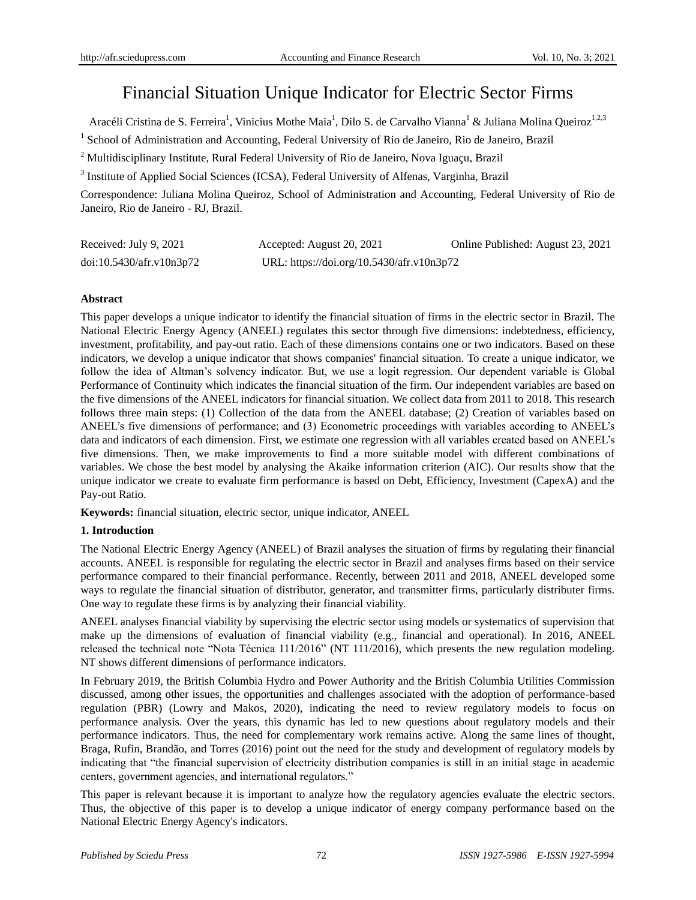# Financial Situation Unique Indicator for Electric Sector Firms

Arac di Cristina de S. Ferreira<sup>1</sup>, Vinicius Mothe Maia<sup>1</sup>, Dilo S. de Carvalho Vianna<sup>1</sup> & Juliana Molina Queiroz<sup>1,2,3</sup>

<sup>1</sup> School of Administration and Accounting, Federal University of Rio de Janeiro, Rio de Janeiro, Brazil

<sup>2</sup> Multidisciplinary Institute, Rural Federal University of Rio de Janeiro, Nova Iguaçu, Brazil

<sup>3</sup> Institute of Applied Social Sciences (ICSA), Federal University of Alfenas, Varginha, Brazil

Correspondence: Juliana Molina Queiroz, School of Administration and Accounting, Federal University of Rio de Janeiro, Rio de Janeiro - RJ, Brazil.

| Received: July 9, 2021   | Accepted: August 20, 2021                 | Online Published: August 23, 2021 |
|--------------------------|-------------------------------------------|-----------------------------------|
| doi:10.5430/afr.v10n3p72 | URL: https://doi.org/10.5430/afr.v10n3p72 |                                   |

## **Abstract**

This paper develops a unique indicator to identify the financial situation of firms in the electric sector in Brazil. The National Electric Energy Agency (ANEEL) regulates this sector through five dimensions: indebtedness, efficiency, investment, profitability, and pay-out ratio. Each of these dimensions contains one or two indicators. Based on these indicators, we develop a unique indicator that shows companies' financial situation. To create a unique indicator, we follow the idea of Altman's solvency indicator. But, we use a logit regression. Our dependent variable is Global Performance of Continuity which indicates the financial situation of the firm. Our independent variables are based on the five dimensions of the ANEEL indicators for financial situation. We collect data from 2011 to 2018. This research follows three main steps: (1) Collection of the data from the ANEEL database; (2) Creation of variables based on ANEEL's five dimensions of performance; and (3) Econometric proceedings with variables according to ANEEL's data and indicators of each dimension. First, we estimate one regression with all variables created based on ANEEL's five dimensions. Then, we make improvements to find a more suitable model with different combinations of variables. We chose the best model by analysing the Akaike information criterion (AIC). Our results show that the unique indicator we create to evaluate firm performance is based on Debt, Efficiency, Investment (CapexA) and the Pay-out Ratio.

**Keywords:** financial situation, electric sector, unique indicator, ANEEL

## **1. Introduction**

The National Electric Energy Agency (ANEEL) of Brazil analyses the situation of firms by regulating their financial accounts. ANEEL is responsible for regulating the electric sector in Brazil and analyses firms based on their service performance compared to their financial performance. Recently, between 2011 and 2018, ANEEL developed some ways to regulate the financial situation of distributor, generator, and transmitter firms, particularly distributer firms. One way to regulate these firms is by analyzing their financial viability.

ANEEL analyses financial viability by supervising the electric sector using models or systematics of supervision that make up the dimensions of evaluation of financial viability (e.g., financial and operational). In 2016, ANEEL released the technical note "Nota Técnica 111/2016" (NT 111/2016), which presents the new regulation modeling. NT shows different dimensions of performance indicators.

In February 2019, the British Columbia Hydro and Power Authority and the British Columbia Utilities Commission discussed, among other issues, the opportunities and challenges associated with the adoption of performance-based regulation (PBR) (Lowry and Makos, 2020), indicating the need to review regulatory models to focus on performance analysis. Over the years, this dynamic has led to new questions about regulatory models and their performance indicators. Thus, the need for complementary work remains active. Along the same lines of thought, Braga, Rufin, Brandão, and Torres (2016) point out the need for the study and development of regulatory models by indicating that "the financial supervision of electricity distribution companies is still in an initial stage in academic centers, government agencies, and international regulators."

This paper is relevant because it is important to analyze how the regulatory agencies evaluate the electric sectors. Thus, the objective of this paper is to develop a unique indicator of energy company performance based on the National Electric Energy Agency's indicators.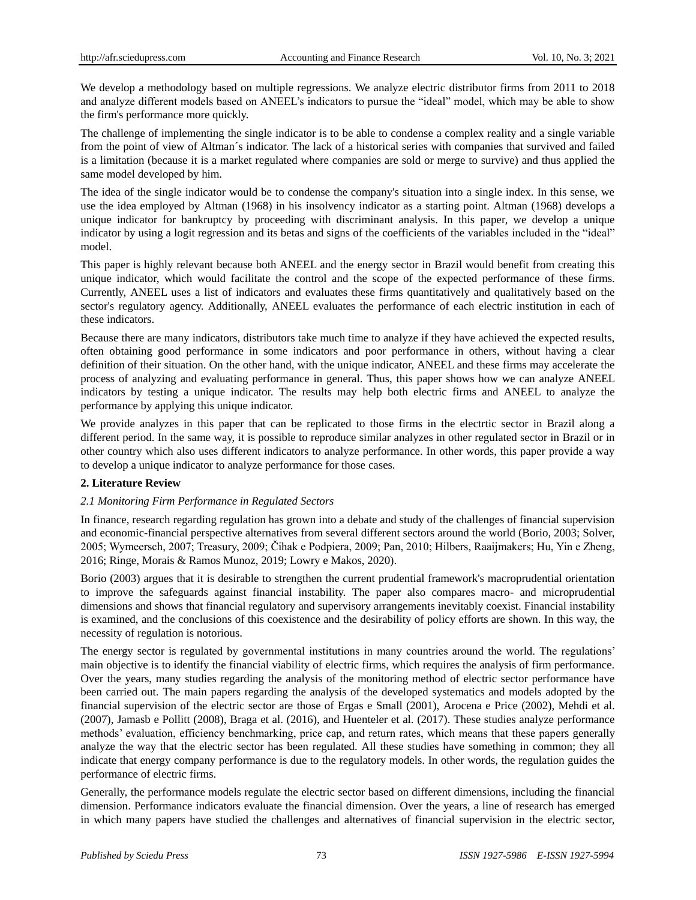We develop a methodology based on multiple regressions. We analyze electric distributor firms from 2011 to 2018 and analyze different models based on ANEEL's indicators to pursue the "ideal" model, which may be able to show the firm's performance more quickly.

The challenge of implementing the single indicator is to be able to condense a complex reality and a single variable from the point of view of Altman´s indicator. The lack of a historical series with companies that survived and failed is a limitation (because it is a market regulated where companies are sold or merge to survive) and thus applied the same model developed by him.

The idea of the single indicator would be to condense the company's situation into a single index. In this sense, we use the idea employed by Altman (1968) in his insolvency indicator as a starting point. Altman (1968) develops a unique indicator for bankruptcy by proceeding with discriminant analysis. In this paper, we develop a unique indicator by using a logit regression and its betas and signs of the coefficients of the variables included in the "ideal" model.

This paper is highly relevant because both ANEEL and the energy sector in Brazil would benefit from creating this unique indicator, which would facilitate the control and the scope of the expected performance of these firms. Currently, ANEEL uses a list of indicators and evaluates these firms quantitatively and qualitatively based on the sector's regulatory agency. Additionally, ANEEL evaluates the performance of each electric institution in each of these indicators.

Because there are many indicators, distributors take much time to analyze if they have achieved the expected results, often obtaining good performance in some indicators and poor performance in others, without having a clear definition of their situation. On the other hand, with the unique indicator, ANEEL and these firms may accelerate the process of analyzing and evaluating performance in general. Thus, this paper shows how we can analyze ANEEL indicators by testing a unique indicator. The results may help both electric firms and ANEEL to analyze the performance by applying this unique indicator.

We provide analyzes in this paper that can be replicated to those firms in the electrtic sector in Brazil along a different period. In the same way, it is possible to reproduce similar analyzes in other regulated sector in Brazil or in other country which also uses different indicators to analyze performance. In other words, this paper provide a way to develop a unique indicator to analyze performance for those cases.

## **2. Literature Review**

## *2.1 Monitoring Firm Performance in Regulated Sectors*

In finance, research regarding regulation has grown into a debate and study of the challenges of financial supervision and economic-financial perspective alternatives from several different sectors around the world (Borio, 2003; Solver, 2005; Wymeersch, 2007; Treasury, 2009; Čihak e Podpiera, 2009; Pan, 2010; Hilbers, Raaijmakers; Hu, Yin e Zheng, 2016; Ringe, Morais & Ramos Munoz, 2019; Lowry e Makos, 2020).

Borio (2003) argues that it is desirable to strengthen the current prudential framework's macroprudential orientation to improve the safeguards against financial instability. The paper also compares macro- and microprudential dimensions and shows that financial regulatory and supervisory arrangements inevitably coexist. Financial instability is examined, and the conclusions of this coexistence and the desirability of policy efforts are shown. In this way, the necessity of regulation is notorious.

The energy sector is regulated by governmental institutions in many countries around the world. The regulations' main objective is to identify the financial viability of electric firms, which requires the analysis of firm performance. Over the years, many studies regarding the analysis of the monitoring method of electric sector performance have been carried out. The main papers regarding the analysis of the developed systematics and models adopted by the financial supervision of the electric sector are those of Ergas e Small (2001), Arocena e Price (2002), Mehdi et al. (2007), Jamasb e Pollitt (2008), Braga et al. (2016), and Huenteler et al. (2017). These studies analyze performance methods' evaluation, efficiency benchmarking, price cap, and return rates, which means that these papers generally analyze the way that the electric sector has been regulated. All these studies have something in common; they all indicate that energy company performance is due to the regulatory models. In other words, the regulation guides the performance of electric firms.

Generally, the performance models regulate the electric sector based on different dimensions, including the financial dimension. Performance indicators evaluate the financial dimension. Over the years, a line of research has emerged in which many papers have studied the challenges and alternatives of financial supervision in the electric sector,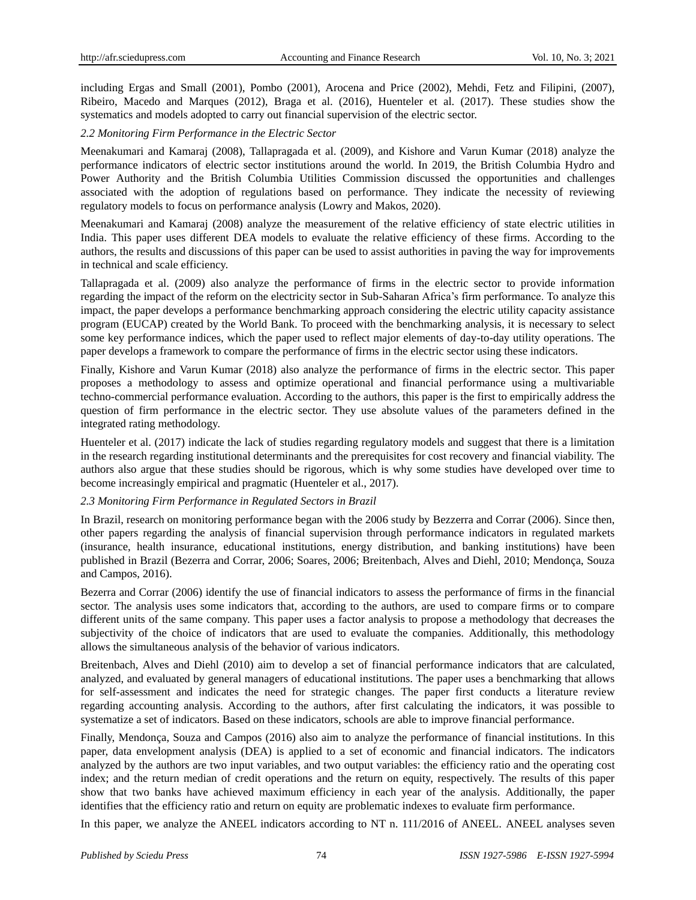including Ergas and Small (2001), Pombo (2001), Arocena and Price (2002), Mehdi, Fetz and Filipini, (2007), Ribeiro, Macedo and Marques (2012), Braga et al. (2016), Huenteler et al. (2017). These studies show the systematics and models adopted to carry out financial supervision of the electric sector.

#### *2.2 Monitoring Firm Performance in the Electric Sector*

Meenakumari and Kamaraj (2008), Tallapragada et al. (2009), and Kishore and Varun Kumar (2018) analyze the performance indicators of electric sector institutions around the world. In 2019, the British Columbia Hydro and Power Authority and the British Columbia Utilities Commission discussed the opportunities and challenges associated with the adoption of regulations based on performance. They indicate the necessity of reviewing regulatory models to focus on performance analysis (Lowry and Makos, 2020).

Meenakumari and Kamaraj (2008) analyze the measurement of the relative efficiency of state electric utilities in India. This paper uses different DEA models to evaluate the relative efficiency of these firms. According to the authors, the results and discussions of this paper can be used to assist authorities in paving the way for improvements in technical and scale efficiency.

Tallapragada et al. (2009) also analyze the performance of firms in the electric sector to provide information regarding the impact of the reform on the electricity sector in Sub-Saharan Africa's firm performance. To analyze this impact, the paper develops a performance benchmarking approach considering the electric utility capacity assistance program (EUCAP) created by the World Bank. To proceed with the benchmarking analysis, it is necessary to select some key performance indices, which the paper used to reflect major elements of day-to-day utility operations. The paper develops a framework to compare the performance of firms in the electric sector using these indicators.

Finally, Kishore and Varun Kumar (2018) also analyze the performance of firms in the electric sector. This paper proposes a methodology to assess and optimize operational and financial performance using a multivariable techno-commercial performance evaluation. According to the authors, this paper is the first to empirically address the question of firm performance in the electric sector. They use absolute values of the parameters defined in the integrated rating methodology.

Huenteler et al. (2017) indicate the lack of studies regarding regulatory models and suggest that there is a limitation in the research regarding institutional determinants and the prerequisites for cost recovery and financial viability. The authors also argue that these studies should be rigorous, which is why some studies have developed over time to become increasingly empirical and pragmatic (Huenteler et al., 2017).

#### *2.3 Monitoring Firm Performance in Regulated Sectors in Brazil*

In Brazil, research on monitoring performance began with the 2006 study by Bezzerra and Corrar (2006). Since then, other papers regarding the analysis of financial supervision through performance indicators in regulated markets (insurance, health insurance, educational institutions, energy distribution, and banking institutions) have been published in Brazil (Bezerra and Corrar, 2006; Soares, 2006; Breitenbach, Alves and Diehl, 2010; Mendonça, Souza and Campos, 2016).

Bezerra and Corrar (2006) identify the use of financial indicators to assess the performance of firms in the financial sector. The analysis uses some indicators that, according to the authors, are used to compare firms or to compare different units of the same company. This paper uses a factor analysis to propose a methodology that decreases the subjectivity of the choice of indicators that are used to evaluate the companies. Additionally, this methodology allows the simultaneous analysis of the behavior of various indicators.

Breitenbach, Alves and Diehl (2010) aim to develop a set of financial performance indicators that are calculated, analyzed, and evaluated by general managers of educational institutions. The paper uses a benchmarking that allows for self-assessment and indicates the need for strategic changes. The paper first conducts a literature review regarding accounting analysis. According to the authors, after first calculating the indicators, it was possible to systematize a set of indicators. Based on these indicators, schools are able to improve financial performance.

Finally, Mendonça, Souza and Campos (2016) also aim to analyze the performance of financial institutions. In this paper, data envelopment analysis (DEA) is applied to a set of economic and financial indicators. The indicators analyzed by the authors are two input variables, and two output variables: the efficiency ratio and the operating cost index; and the return median of credit operations and the return on equity, respectively. The results of this paper show that two banks have achieved maximum efficiency in each year of the analysis. Additionally, the paper identifies that the efficiency ratio and return on equity are problematic indexes to evaluate firm performance.

In this paper, we analyze the ANEEL indicators according to NT n. 111/2016 of ANEEL. ANEEL analyses seven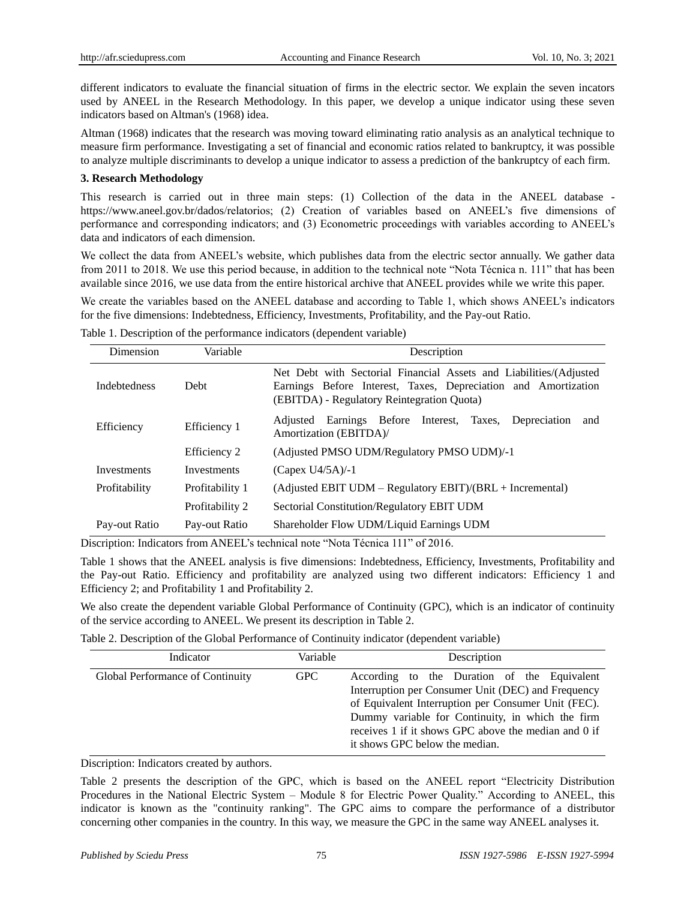different indicators to evaluate the financial situation of firms in the electric sector. We explain the seven incators used by ANEEL in the Research Methodology. In this paper, we develop a unique indicator using these seven indicators based on Altman's (1968) idea.

Altman (1968) indicates that the research was moving toward eliminating ratio analysis as an analytical technique to measure firm performance. Investigating a set of financial and economic ratios related to bankruptcy, it was possible to analyze multiple discriminants to develop a unique indicator to assess a prediction of the bankruptcy of each firm.

## **3. Research Methodology**

This research is carried out in three main steps: (1) Collection of the data in the ANEEL database https://www.aneel.gov.br/dados/relatorios; (2) Creation of variables based on ANEEL's five dimensions of performance and corresponding indicators; and (3) Econometric proceedings with variables according to ANEEL's data and indicators of each dimension.

We collect the data from ANEEL's website, which publishes data from the electric sector annually. We gather data from 2011 to 2018. We use this period because, in addition to the technical note "Nota Técnica n. 111" that has been available since 2016, we use data from the entire historical archive that ANEEL provides while we write this paper.

We create the variables based on the ANEEL database and according to Table 1, which shows ANEEL's indicators for the five dimensions: Indebtedness, Efficiency, Investments, Profitability, and the Pay-out Ratio.

| Dimension           | Variable        | Description                                                                                                                                                                        |  |  |  |
|---------------------|-----------------|------------------------------------------------------------------------------------------------------------------------------------------------------------------------------------|--|--|--|
| <b>Indebtedness</b> | Debt            | Net Debt with Sectorial Financial Assets and Liabilities/(Adjusted<br>Earnings Before Interest, Taxes, Depreciation and Amortization<br>(EBITDA) - Regulatory Reintegration Quota) |  |  |  |
| Efficiency          | Efficiency 1    | Earnings Before Interest,<br>Taxes.<br>Adjusted<br>Depreciation<br>and<br>Amortization (EBITDA)/                                                                                   |  |  |  |
|                     | Efficiency 2    | (Adjusted PMSO UDM/Regulatory PMSO UDM)/-1                                                                                                                                         |  |  |  |
| Investments         | Investments     | $(Capex U4/5A)/-1$                                                                                                                                                                 |  |  |  |
| Profitability       | Profitability 1 | (Adjusted EBIT UDM – Regulatory EBIT)/(BRL + Incremental)                                                                                                                          |  |  |  |
|                     | Profitability 2 | Sectorial Constitution/Regulatory EBIT UDM                                                                                                                                         |  |  |  |
| Pay-out Ratio       | Pay-out Ratio   | Shareholder Flow UDM/Liquid Earnings UDM                                                                                                                                           |  |  |  |

Table 1. Description of the performance indicators (dependent variable)

Discription: Indicators from ANEEL's technical note "Nota Técnica 111" of 2016.

Table 1 shows that the ANEEL analysis is five dimensions: Indebtedness, Efficiency, Investments, Profitability and the Pay-out Ratio. Efficiency and profitability are analyzed using two different indicators: Efficiency 1 and Efficiency 2; and Profitability 1 and Profitability 2.

We also create the dependent variable Global Performance of Continuity (GPC), which is an indicator of continuity of the service according to ANEEL. We present its description in Table 2.

Table 2. Description of the Global Performance of Continuity indicator (dependent variable)

| Indicator                        | Variable   | Description                                                                                              |  |
|----------------------------------|------------|----------------------------------------------------------------------------------------------------------|--|
| Global Performance of Continuity | <b>GPC</b> | According to the Duration of the Equivalent<br>Interruption per Consumer Unit (DEC) and Frequency        |  |
|                                  |            | of Equivalent Interruption per Consumer Unit (FEC).                                                      |  |
|                                  |            | Dummy variable for Continuity, in which the firm<br>receives 1 if it shows GPC above the median and 0 if |  |
|                                  |            | it shows GPC below the median.                                                                           |  |

Discription: Indicators created by authors.

Table 2 presents the description of the GPC, which is based on the ANEEL report "Electricity Distribution Procedures in the National Electric System – Module 8 for Electric Power Quality." According to ANEEL, this indicator is known as the "continuity ranking". The GPC aims to compare the performance of a distributor concerning other companies in the country. In this way, we measure the GPC in the same way ANEEL analyses it.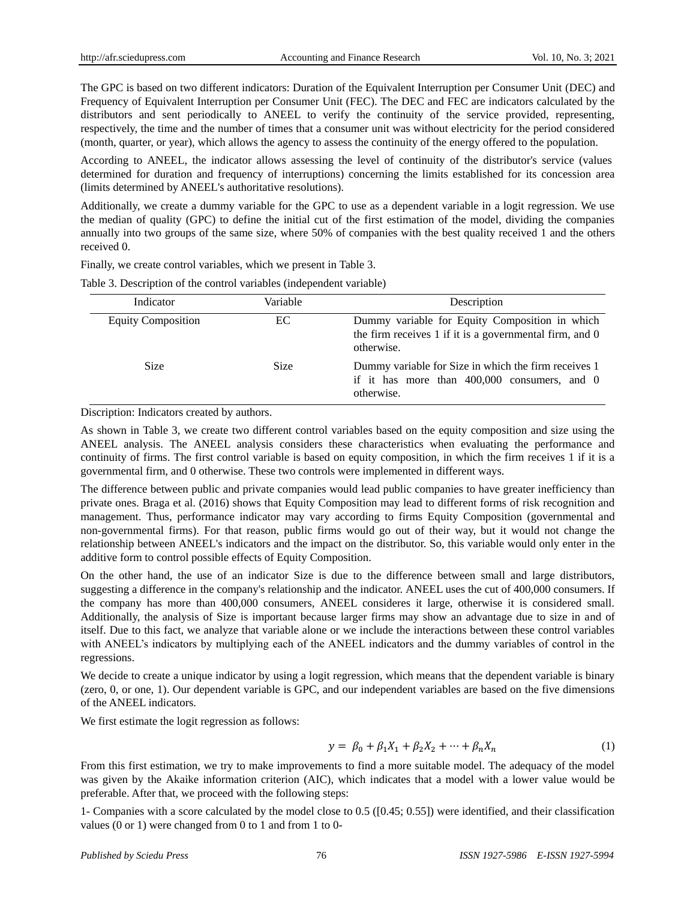The GPC is based on two different indicators: Duration of the Equivalent Interruption per Consumer Unit (DEC) and Frequency of Equivalent Interruption per Consumer Unit (FEC). The DEC and FEC are indicators calculated by the distributors and sent periodically to ANEEL to verify the continuity of the service provided, representing, respectively, the time and the number of times that a consumer unit was without electricity for the period considered (month, quarter, or year), which allows the agency to assess the continuity of the energy offered to the population.

According to ANEEL, the indicator allows assessing the level of continuity of the distributor's service (values determined for duration and frequency of interruptions) concerning the limits established for its concession area (limits determined by ANEEL's authoritative resolutions).

Additionally, we create a dummy variable for the GPC to use as a dependent variable in a logit regression. We use the median of quality (GPC) to define the initial cut of the first estimation of the model, dividing the companies annually into two groups of the same size, where 50% of companies with the best quality received 1 and the others received 0.

Finally, we create control variables, which we present in Table 3.

| Indicator                 | Variable    | Description                                                                                                                 |  |  |
|---------------------------|-------------|-----------------------------------------------------------------------------------------------------------------------------|--|--|
| <b>Equity Composition</b> | EC          | Dummy variable for Equity Composition in which<br>the firm receives $1$ if it is a governmental firm, and $0$<br>otherwise. |  |  |
| <b>Size</b>               | <b>Size</b> | Dummy variable for Size in which the firm receives 1<br>if it has more than $400,000$ consumers, and 0<br>otherwise.        |  |  |

Table 3. Description of the control variables (independent variable)

Discription: Indicators created by authors.

As shown in Table 3, we create two different control variables based on the equity composition and size using the ANEEL analysis. The ANEEL analysis considers these characteristics when evaluating the performance and continuity of firms. The first control variable is based on equity composition, in which the firm receives 1 if it is a governmental firm, and 0 otherwise. These two controls were implemented in different ways.

The difference between public and private companies would lead public companies to have greater inefficiency than private ones. Braga et al. (2016) shows that Equity Composition may lead to different forms of risk recognition and management. Thus, performance indicator may vary according to firms Equity Composition (governmental and non-governmental firms). For that reason, public firms would go out of their way, but it would not change the relationship between ANEEL's indicators and the impact on the distributor. So, this variable would only enter in the additive form to control possible effects of Equity Composition.

On the other hand, the use of an indicator Size is due to the difference between small and large distributors, suggesting a difference in the company's relationship and the indicator. ANEEL uses the cut of 400,000 consumers. If the company has more than 400,000 consumers, ANEEL consideres it large, otherwise it is considered small. Additionally, the analysis of Size is important because larger firms may show an advantage due to size in and of itself. Due to this fact, we analyze that variable alone or we include the interactions between these control variables with ANEEL's indicators by multiplying each of the ANEEL indicators and the dummy variables of control in the regressions.

We decide to create a unique indicator by using a logit regression, which means that the dependent variable is binary (zero, 0, or one, 1). Our dependent variable is GPC, and our independent variables are based on the five dimensions of the ANEEL indicators.

We first estimate the logit regression as follows:

$$
y = \beta_0 + \beta_1 X_1 + \beta_2 X_2 + \dots + \beta_n X_n \tag{1}
$$

From this first estimation, we try to make improvements to find a more suitable model. The adequacy of the model was given by the Akaike information criterion (AIC), which indicates that a model with a lower value would be preferable. After that, we proceed with the following steps:

1- Companies with a score calculated by the model close to 0.5 ([0.45; 0.55]) were identified, and their classification values (0 or 1) were changed from 0 to 1 and from 1 to 0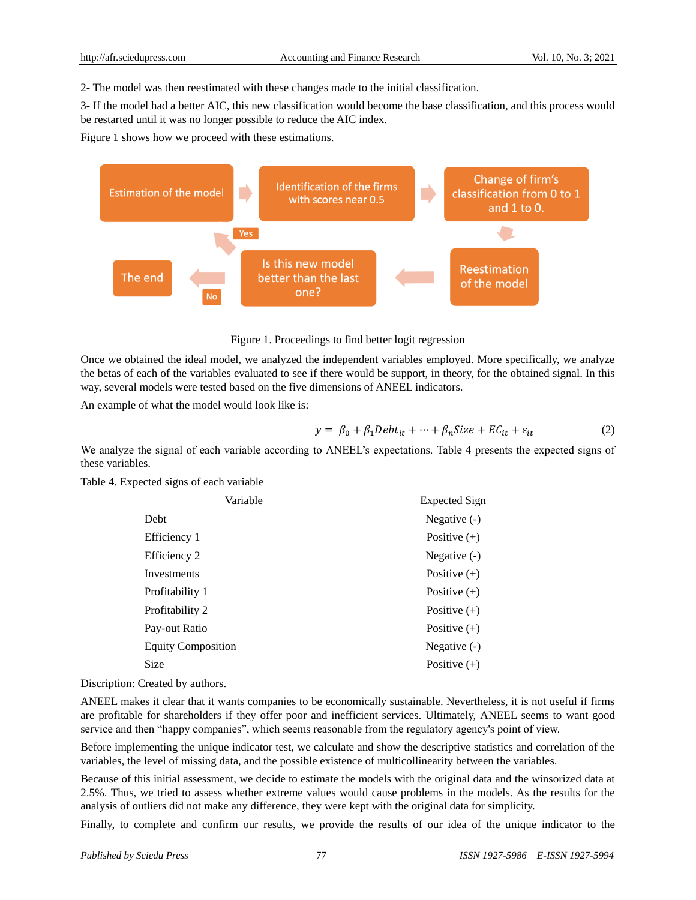2- The model was then reestimated with these changes made to the initial classification.

3- If the model had a better AIC, this new classification would become the base classification, and this process would be restarted until it was no longer possible to reduce the AIC index.

Figure 1 shows how we proceed with these estimations.



Figure 1. Proceedings to find better logit regression

Once we obtained the ideal model, we analyzed the independent variables employed. More specifically, we analyze the betas of each of the variables evaluated to see if there would be support, in theory, for the obtained signal. In this way, several models were tested based on the five dimensions of ANEEL indicators.

An example of what the model would look like is:

$$
y = \beta_0 + \beta_1 \text{Debt}_{it} + \dots + \beta_n \text{Size} + \text{EC}_{it} + \varepsilon_{it} \tag{2}
$$

We analyze the signal of each variable according to ANEEL's expectations. Table 4 presents the expected signs of these variables.

|  | Table 4. Expected signs of each variable |  |  |  |
|--|------------------------------------------|--|--|--|
|--|------------------------------------------|--|--|--|

| Variable                  | <b>Expected Sign</b> |
|---------------------------|----------------------|
| Debt                      | Negative $(-)$       |
| Efficiency 1              | Positive $(+)$       |
| Efficiency 2              | Negative $(-)$       |
| Investments               | Positive $(+)$       |
| Profitability 1           | Positive $(+)$       |
| Profitability 2           | Positive $(+)$       |
| Pay-out Ratio             | Positive $(+)$       |
| <b>Equity Composition</b> | Negative $(-)$       |
| <b>Size</b>               | Positive $(+)$       |

Discription: Created by authors.

ANEEL makes it clear that it wants companies to be economically sustainable. Nevertheless, it is not useful if firms are profitable for shareholders if they offer poor and inefficient services. Ultimately, ANEEL seems to want good service and then "happy companies", which seems reasonable from the regulatory agency's point of view.

Before implementing the unique indicator test, we calculate and show the descriptive statistics and correlation of the variables, the level of missing data, and the possible existence of multicollinearity between the variables.

Because of this initial assessment, we decide to estimate the models with the original data and the winsorized data at 2.5%. Thus, we tried to assess whether extreme values would cause problems in the models. As the results for the analysis of outliers did not make any difference, they were kept with the original data for simplicity.

Finally, to complete and confirm our results, we provide the results of our idea of the unique indicator to the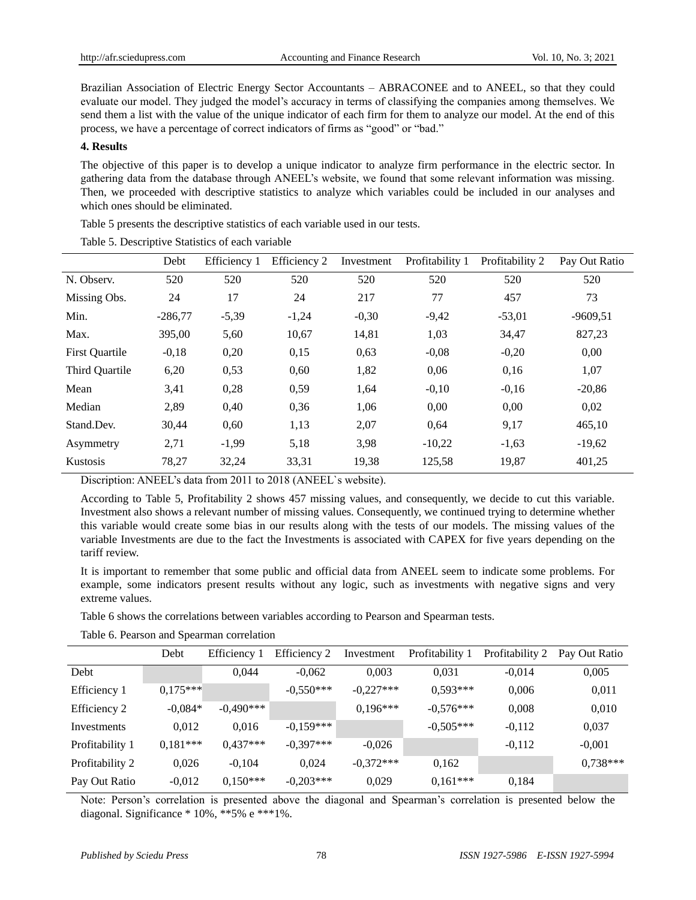Brazilian Association of Electric Energy Sector Accountants – ABRACONEE and to ANEEL, so that they could evaluate our model. They judged the model's accuracy in terms of classifying the companies among themselves. We send them a list with the value of the unique indicator of each firm for them to analyze our model. At the end of this process, we have a percentage of correct indicators of firms as "good" or "bad."

#### **4. Results**

The objective of this paper is to develop a unique indicator to analyze firm performance in the electric sector. In gathering data from the database through ANEEL's website, we found that some relevant information was missing. Then, we proceeded with descriptive statistics to analyze which variables could be included in our analyses and which ones should be eliminated.

Table 5 presents the descriptive statistics of each variable used in our tests.

|                       | Debt      | Efficiency 1 | Efficiency 2 | Investment | Profitability 1 | Profitability 2 | Pay Out Ratio |
|-----------------------|-----------|--------------|--------------|------------|-----------------|-----------------|---------------|
| N. Observ.            | 520       | 520          | 520          | 520        | 520             | 520             | 520           |
| Missing Obs.          | 24        | 17           | 24           | 217        | 77              | 457             | 73            |
| Min.                  | $-286,77$ | $-5,39$      | $-1,24$      | $-0,30$    | $-9,42$         | $-53,01$        | $-9609.51$    |
| Max.                  | 395,00    | 5,60         | 10,67        | 14,81      | 1,03            | 34,47           | 827,23        |
| <b>First Quartile</b> | $-0,18$   | 0,20         | 0,15         | 0,63       | $-0.08$         | $-0,20$         | 0,00          |
| Third Quartile        | 6,20      | 0,53         | 0,60         | 1,82       | 0,06            | 0,16            | 1,07          |
| Mean                  | 3,41      | 0,28         | 0,59         | 1,64       | $-0,10$         | $-0,16$         | $-20,86$      |
| Median                | 2,89      | 0,40         | 0,36         | 1,06       | 0,00            | 0,00            | 0,02          |
| Stand.Dev.            | 30,44     | 0,60         | 1,13         | 2,07       | 0,64            | 9,17            | 465,10        |
| Asymmetry             | 2,71      | $-1,99$      | 5,18         | 3,98       | $-10,22$        | $-1,63$         | $-19,62$      |
| Kustosis              | 78,27     | 32,24        | 33,31        | 19,38      | 125,58          | 19,87           | 401,25        |

Table 5. Descriptive Statistics of each variable

Discription: ANEEL's data from 2011 to 2018 (ANEEL`s website).

According to Table 5, Profitability 2 shows 457 missing values, and consequently, we decide to cut this variable. Investment also shows a relevant number of missing values. Consequently, we continued trying to determine whether this variable would create some bias in our results along with the tests of our models. The missing values of the variable Investments are due to the fact the Investments is associated with CAPEX for five years depending on the tariff review.

It is important to remember that some public and official data from ANEEL seem to indicate some problems. For example, some indicators present results without any logic, such as investments with negative signs and very extreme values.

Table 6 shows the correlations between variables according to Pearson and Spearman tests.

|  |  | Table 6. Pearson and Spearman correlation |  |
|--|--|-------------------------------------------|--|
|--|--|-------------------------------------------|--|

|                 | Debt       | Efficiency 1 | Efficiency 2 | Investment  | Profitability 1 | Profitability 2 | Pay Out Ratio |
|-----------------|------------|--------------|--------------|-------------|-----------------|-----------------|---------------|
| Debt            |            | 0.044        | $-0.062$     | 0.003       | 0.031           | $-0.014$        | 0.005         |
| Efficiency 1    | $0.175***$ |              | $-0.550***$  | $-0.227***$ | $0.593***$      | 0.006           | 0,011         |
| Efficiency 2    | $-0.084*$  | $-0.490***$  |              | $0.196***$  | $-0.576***$     | 0,008           | 0,010         |
| Investments     | 0.012      | 0.016        | $-0.159***$  |             | $-0.505***$     | $-0.112$        | 0,037         |
| Profitability 1 | $0.181***$ | $0.437***$   | $-0.397***$  | $-0.026$    |                 | $-0,112$        | $-0.001$      |
| Profitability 2 | 0.026      | $-0.104$     | 0.024        | $-0.372***$ | 0.162           |                 | $0.738***$    |
| Pay Out Ratio   | $-0.012$   | $0.150***$   | $-0.203***$  | 0.029       | $0,161***$      | 0,184           |               |

Note: Person's correlation is presented above the diagonal and Spearman's correlation is presented below the diagonal. Significance \* 10%, \*\*5% e \*\*\*1%.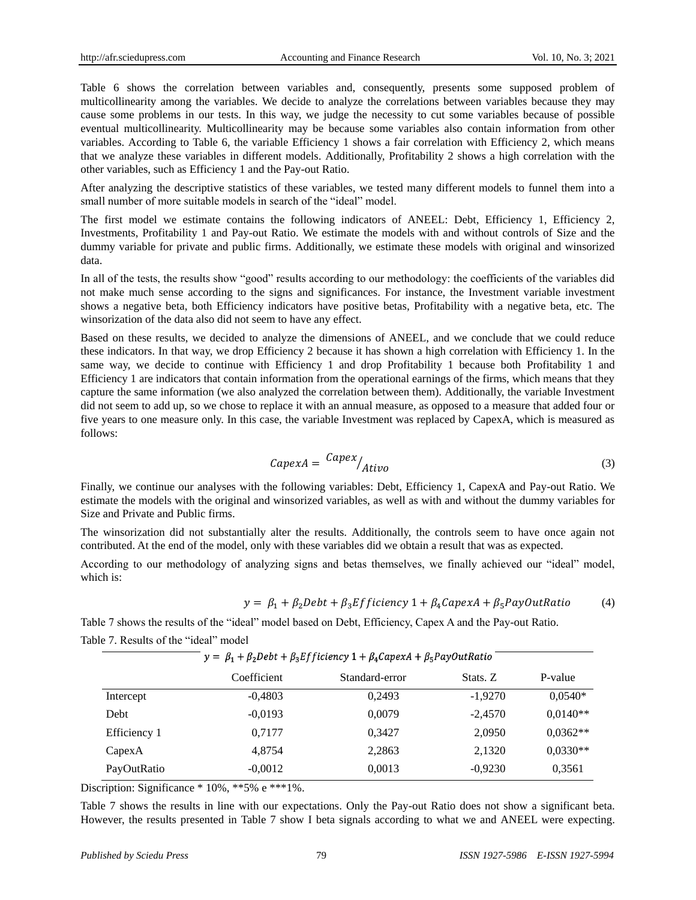Table 6 shows the correlation between variables and, consequently, presents some supposed problem of multicollinearity among the variables. We decide to analyze the correlations between variables because they may cause some problems in our tests. In this way, we judge the necessity to cut some variables because of possible eventual multicollinearity. Multicollinearity may be because some variables also contain information from other variables. According to Table 6, the variable Efficiency 1 shows a fair correlation with Efficiency 2, which means that we analyze these variables in different models. Additionally, Profitability 2 shows a high correlation with the other variables, such as Efficiency 1 and the Pay-out Ratio.

After analyzing the descriptive statistics of these variables, we tested many different models to funnel them into a small number of more suitable models in search of the "ideal" model.

The first model we estimate contains the following indicators of ANEEL: Debt, Efficiency 1, Efficiency 2, Investments, Profitability 1 and Pay-out Ratio. We estimate the models with and without controls of Size and the dummy variable for private and public firms. Additionally, we estimate these models with original and winsorized data.

In all of the tests, the results show "good" results according to our methodology: the coefficients of the variables did not make much sense according to the signs and significances. For instance, the Investment variable investment shows a negative beta, both Efficiency indicators have positive betas, Profitability with a negative beta, etc. The winsorization of the data also did not seem to have any effect.

Based on these results, we decided to analyze the dimensions of ANEEL, and we conclude that we could reduce these indicators. In that way, we drop Efficiency 2 because it has shown a high correlation with Efficiency 1. In the same way, we decide to continue with Efficiency 1 and drop Profitability 1 because both Profitability 1 and Efficiency 1 are indicators that contain information from the operational earnings of the firms, which means that they capture the same information (we also analyzed the correlation between them). Additionally, the variable Investment did not seem to add up, so we chose to replace it with an annual measure, as opposed to a measure that added four or five years to one measure only. In this case, the variable Investment was replaced by CapexA, which is measured as follows:

$$
CapexA = \frac{Capex}{Ativo} \tag{3}
$$

Finally, we continue our analyses with the following variables: Debt, Efficiency 1, CapexA and Pay-out Ratio. We estimate the models with the original and winsorized variables, as well as with and without the dummy variables for Size and Private and Public firms.

The winsorization did not substantially alter the results. Additionally, the controls seem to have once again not contributed. At the end of the model, only with these variables did we obtain a result that was as expected.

According to our methodology of analyzing signs and betas themselves, we finally achieved our "ideal" model, which is:

$$
y = \beta_1 + \beta_2 \text{Debt} + \beta_3 \text{Efficiency} \, 1 + \beta_4 \text{CapexA} + \beta_5 \text{PayOutRatio} \tag{4}
$$

Table 7 shows the results of the "ideal" model based on Debt, Efficiency, Capex A and the Pay-out Ratio.

Table 7. Results of the "ideal" model

|              | $y = \beta_1 + \beta_2$ Debt + $\beta_3$ Efficiency 1 + $\beta_4$ CapexA + $\beta_5$ PayOutRatio |                |           |            |  |  |
|--------------|--------------------------------------------------------------------------------------------------|----------------|-----------|------------|--|--|
|              | Coefficient                                                                                      | Standard-error | Stats. Z  | P-value    |  |  |
| Intercept    | $-0,4803$                                                                                        | 0.2493         | $-1,9270$ | $0.0540*$  |  |  |
| Debt         | $-0.0193$                                                                                        | 0,0079         | $-2,4570$ | $0,0140**$ |  |  |
| Efficiency 1 | 0.7177                                                                                           | 0,3427         | 2,0950    | $0,0362**$ |  |  |
| CapexA       | 4.8754                                                                                           | 2,2863         | 2,1320    | $0,0330**$ |  |  |
| PayOutRatio  | $-0,0012$                                                                                        | 0,0013         | $-0.9230$ | 0.3561     |  |  |

Discription: Significance \* 10%, \*\*5% e \*\*\*1%.

Table 7 shows the results in line with our expectations. Only the Pay-out Ratio does not show a significant beta. However, the results presented in Table 7 show I beta signals according to what we and ANEEL were expecting.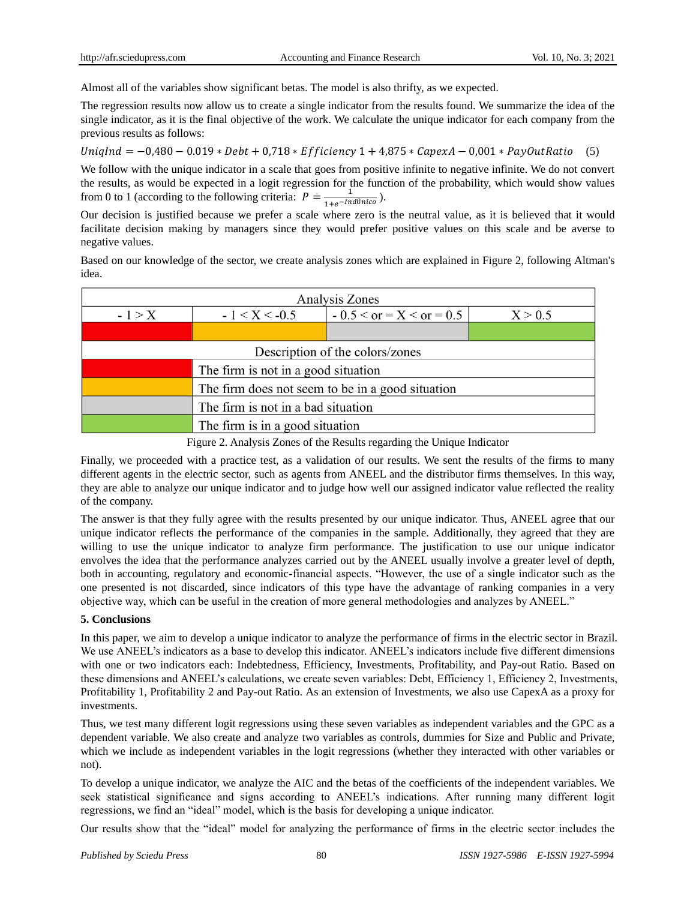Almost all of the variables show significant betas. The model is also thrifty, as we expected.

The regression results now allow us to create a single indicator from the results found. We summarize the idea of the single indicator, as it is the final objective of the work. We calculate the unique indicator for each company from the previous results as follows:

UnigInd =  $-0.480 - 0.019 * Debt + 0.718 * Efficiency 1 + 4.875 * CapexA - 0.001 * PayOutRatio (5)$ 

We follow with the unique indicator in a scale that goes from positive infinite to negative infinite. We do not convert the results, as would be expected in a logit regression for the function of the probability, which would show values from 0 to 1 (according to the following criteria:  $P = \frac{1}{1 + e^{-Indπ(r)}}$ ).

Our decision is justified because we prefer a scale where zero is the neutral value, as it is believed that it would facilitate decision making by managers since they would prefer positive values on this scale and be averse to negative values.

Based on our knowledge of the sector, we create analysis zones which are explained in Figure 2, following Altman's idea.

| Analysis Zones                                   |                                                          |  |  |  |  |  |
|--------------------------------------------------|----------------------------------------------------------|--|--|--|--|--|
| $-1 > X$                                         | $-0.5 < or = X < or = 0.5$<br>$-1 < X < -0.5$<br>X > 0.5 |  |  |  |  |  |
|                                                  |                                                          |  |  |  |  |  |
| Description of the colors/zones                  |                                                          |  |  |  |  |  |
| The firm is not in a good situation              |                                                          |  |  |  |  |  |
| The firm does not seem to be in a good situation |                                                          |  |  |  |  |  |
| The firm is not in a bad situation               |                                                          |  |  |  |  |  |
| The firm is in a good situation                  |                                                          |  |  |  |  |  |

Figure 2. Analysis Zones of the Results regarding the Unique Indicator

Finally, we proceeded with a practice test, as a validation of our results. We sent the results of the firms to many different agents in the electric sector, such as agents from ANEEL and the distributor firms themselves. In this way, they are able to analyze our unique indicator and to judge how well our assigned indicator value reflected the reality of the company.

The answer is that they fully agree with the results presented by our unique indicator. Thus, ANEEL agree that our unique indicator reflects the performance of the companies in the sample. Additionally, they agreed that they are willing to use the unique indicator to analyze firm performance. The justification to use our unique indicator envolves the idea that the performance analyzes carried out by the ANEEL usually involve a greater level of depth, both in accounting, regulatory and economic-financial aspects. "However, the use of a single indicator such as the one presented is not discarded, since indicators of this type have the advantage of ranking companies in a very objective way, which can be useful in the creation of more general methodologies and analyzes by ANEEL."

## **5. Conclusions**

In this paper, we aim to develop a unique indicator to analyze the performance of firms in the electric sector in Brazil. We use ANEEL's indicators as a base to develop this indicator. ANEEL's indicators include five different dimensions with one or two indicators each: Indebtedness, Efficiency, Investments, Profitability, and Pay-out Ratio. Based on these dimensions and ANEEL's calculations, we create seven variables: Debt, Efficiency 1, Efficiency 2, Investments, Profitability 1, Profitability 2 and Pay-out Ratio. As an extension of Investments, we also use CapexA as a proxy for investments.

Thus, we test many different logit regressions using these seven variables as independent variables and the GPC as a dependent variable. We also create and analyze two variables as controls, dummies for Size and Public and Private, which we include as independent variables in the logit regressions (whether they interacted with other variables or not).

To develop a unique indicator, we analyze the AIC and the betas of the coefficients of the independent variables. We seek statistical significance and signs according to ANEEL's indications. After running many different logit regressions, we find an "ideal" model, which is the basis for developing a unique indicator.

Our results show that the "ideal" model for analyzing the performance of firms in the electric sector includes the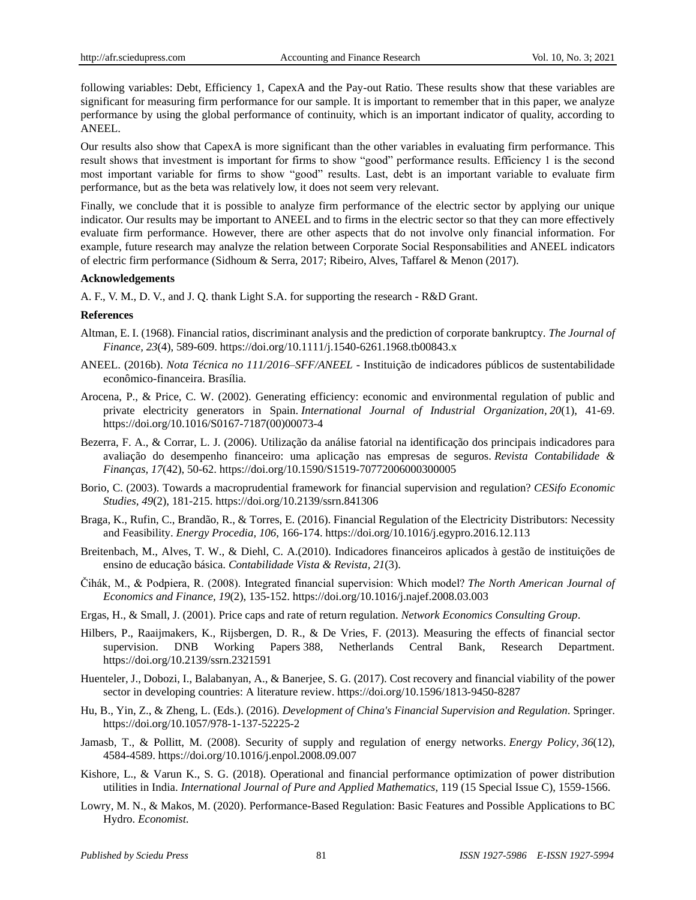following variables: Debt, Efficiency 1, CapexA and the Pay-out Ratio. These results show that these variables are significant for measuring firm performance for our sample. It is important to remember that in this paper, we analyze performance by using the global performance of continuity, which is an important indicator of quality, according to ANEEL.

Our results also show that CapexA is more significant than the other variables in evaluating firm performance. This result shows that investment is important for firms to show "good" performance results. Efficiency 1 is the second most important variable for firms to show "good" results. Last, debt is an important variable to evaluate firm performance, but as the beta was relatively low, it does not seem very relevant.

Finally, we conclude that it is possible to analyze firm performance of the electric sector by applying our unique indicator. Our results may be important to ANEEL and to firms in the electric sector so that they can more effectively evaluate firm performance. However, there are other aspects that do not involve only financial information. For example, future research may analyze the relation between Corporate Social Responsabilities and ANEEL indicators of electric firm performance (Sidhoum & Serra, 2017; Ribeiro, Alves, Taffarel & Menon (2017).

#### **Acknowledgements**

A. F., V. M., D. V., and J. Q. thank Light S.A. for supporting the research - R&D Grant.

#### **References**

- Altman, E. I. (1968). Financial ratios, discriminant analysis and the prediction of corporate bankruptcy. *The Journal of Finance, 23*(4), 589-609. https://doi.org/10.1111/j.1540-6261.1968.tb00843.x
- ANEEL. (2016b). *Nota Técnica no 111/2016–SFF/ANEEL* Instituição de indicadores públicos de sustentabilidade econômico-financeira. Bras fia.
- Arocena, P., & Price, C. W. (2002). Generating efficiency: economic and environmental regulation of public and private electricity generators in Spain. *International Journal of Industrial Organization, 20*(1), 41-69. https://doi.org/10.1016/S0167-7187(00)00073-4
- Bezerra, F. A., & Corrar, L. J. (2006). Utilização da análise fatorial na identificação dos principais indicadores para avaliação do desempenho financeiro: uma aplicação nas empresas de seguros. *Revista Contabilidade & Finanças, 17*(42), 50-62. https://doi.org/10.1590/S1519-70772006000300005
- Borio, C. (2003). Towards a macroprudential framework for financial supervision and regulation? *CESifo Economic Studies, 49*(2), 181-215. https://doi.org/10.2139/ssrn.841306
- Braga, K., Rufin, C., Brandão, R., & Torres, E. (2016). Financial Regulation of the Electricity Distributors: Necessity and Feasibility. *Energy Procedia, 106*, 166-174. https://doi.org[/10.1016/j.egypro.2016.12.113](https://doi.org/10.1016/j.egypro.2016.12.113)
- Breitenbach, M., Alves, T. W., & Diehl, C. A.(2010). Indicadores financeiros aplicados à gestão de instituições de ensino de educação básica. *Contabilidade Vista & Revista, 21*(3).
- Čihák, M., & Podpiera, R. (2008). Integrated financial supervision: Which model? *The North American Journal of Economics and Finance, 19*(2), 135-152. https://doi.or[g/10.1016/j.najef.2008.03.003](https://doi.org/10.1016/j.najef.2008.03.003)
- Ergas, H., & Small, J. (2001). Price caps and rate of return regulation. *Network Economics Consulting Group*.
- Hilbers, P., Raaijmakers, K., Rijsbergen, D. R., & De Vries, F. (2013). Measuring the effects of financial sector supervision. [DNB Working Papers](https://ideas.repec.org/s/dnb/dnbwpp.html) 388, Netherlands Central Bank, Research Department. https://doi.org/10.2139/ssrn.2321591
- Huenteler, J., Dobozi, I., Balabanyan, A., & Banerjee, S. G. (2017). Cost recovery and financial viability of the power sector in developing countries: A literature review. https://doi.org[/10.1596/1813-9450-8287](https://doi.org/10.1596/1813-9450-8287)
- Hu, B., Yin, Z., & Zheng, L. (Eds.). (2016). *Development of China's Financial Supervision and Regulation*. Springer. https://doi.org/10.1057/978-1-137-52225-2
- Jamasb, T., & Pollitt, M. (2008). Security of supply and regulation of energy networks. *Energy Policy, 36*(12), 4584-4589. https://doi.org[/10.1016/j.enpol.2008.09.007](https://doi.org/10.1016/j.enpol.2008.09.007)
- Kishore, L., & Varun K., S. G. (2018). Operational and financial performance optimization of power distribution utilities in India. *International Journal of Pure and Applied Mathematics*, 119 (15 Special Issue C), 1559-1566.
- Lowry, M. N., & Makos, M. (2020). Performance-Based Regulation: Basic Features and Possible Applications to BC Hydro. *Economist*.